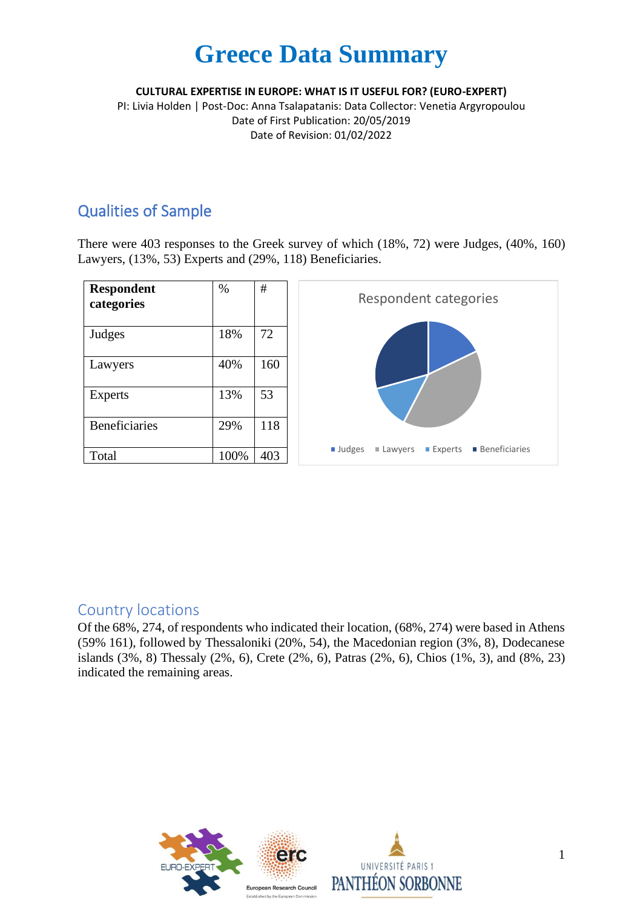**CULTURAL EXPERTISE IN EUROPE: WHAT IS IT USEFUL FOR? (EURO-EXPERT)**

PI: Livia Holden | Post-Doc: Anna Tsalapatanis: Data Collector: Venetia Argyropoulou Date of First Publication: 20/05/2019 Date of Revision: 01/02/2022

#### Qualities of Sample

There were 403 responses to the Greek survey of which (18%, 72) were Judges, (40%, 160) Lawyers, (13%, 53) Experts and (29%, 118) Beneficiaries.



#### Country locations

Of the 68%, 274, of respondents who indicated their location, (68%, 274) were based in Athens (59% 161), followed by Thessaloniki (20%, 54), the Macedonian region (3%, 8), Dodecanese islands (3%, 8) Thessaly (2%, 6), Crete (2%, 6), Patras (2%, 6), Chios (1%, 3), and (8%, 23) indicated the remaining areas.



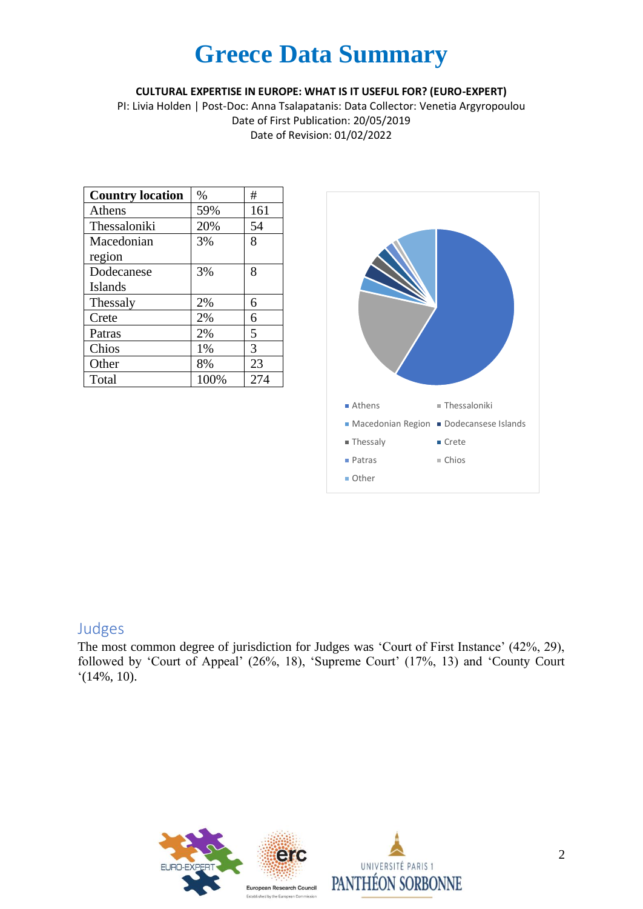**CULTURAL EXPERTISE IN EUROPE: WHAT IS IT USEFUL FOR? (EURO-EXPERT)**

PI: Livia Holden | Post-Doc: Anna Tsalapatanis: Data Collector: Venetia Argyropoulou Date of First Publication: 20/05/2019 Date of Revision: 01/02/2022

| <b>Country location</b> | $\%$ | #   |
|-------------------------|------|-----|
| Athens                  | 59%  | 161 |
| Thessaloniki            | 20%  | 54  |
| Macedonian              | 3%   | 8   |
| region                  |      |     |
| Dodecanese              | 3%   | 8   |
| <b>Islands</b>          |      |     |
| Thessaly                | 2%   | 6   |
| Crete                   | 2%   | 6   |
| Patras                  | 2%   | 5   |
| Chios                   | 1%   | 3   |
| Other                   | 8%   | 23  |
| Total                   | 100% | 274 |



#### Judges

The most common degree of jurisdiction for Judges was 'Court of First Instance' (42%, 29), followed by 'Court of Appeal' (26%, 18), 'Supreme Court' (17%, 13) and 'County Court '(14%, 10).



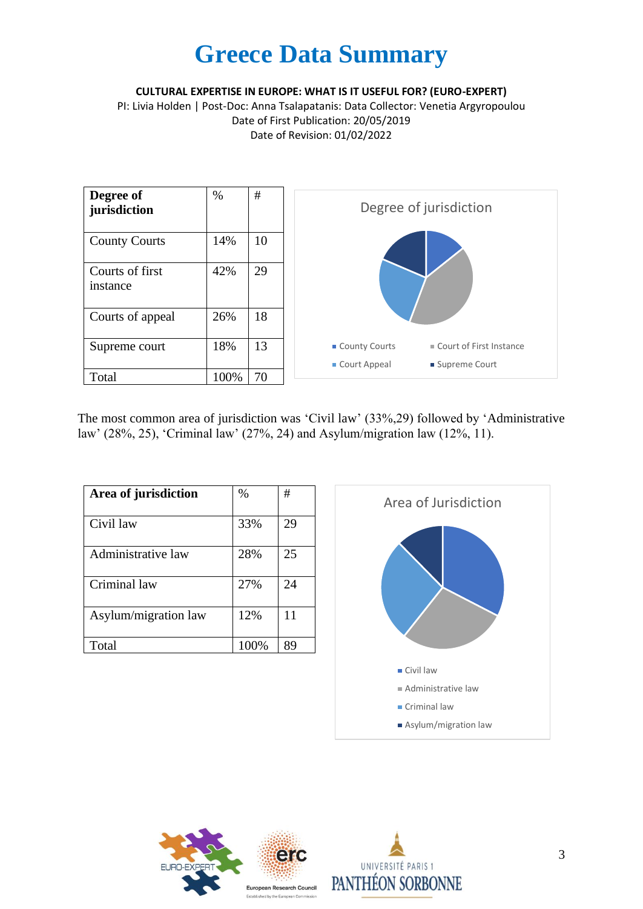**CULTURAL EXPERTISE IN EUROPE: WHAT IS IT USEFUL FOR? (EURO-EXPERT)**

PI: Livia Holden | Post-Doc: Anna Tsalapatanis: Data Collector: Venetia Argyropoulou Date of First Publication: 20/05/2019 Date of Revision: 01/02/2022



The most common area of jurisdiction was 'Civil law' (33%,29) followed by 'Administrative law' (28%, 25), 'Criminal law' (27%, 24) and Asylum/migration law (12%, 11).

| Area of jurisdiction | %    | #  |
|----------------------|------|----|
| Civil law            | 33%  | 29 |
| Administrative law   | 28%  | 25 |
| Criminal law         | 27%  | 24 |
| Asylum/migration law | 12%  | 11 |
| Total                | 100% | 89 |





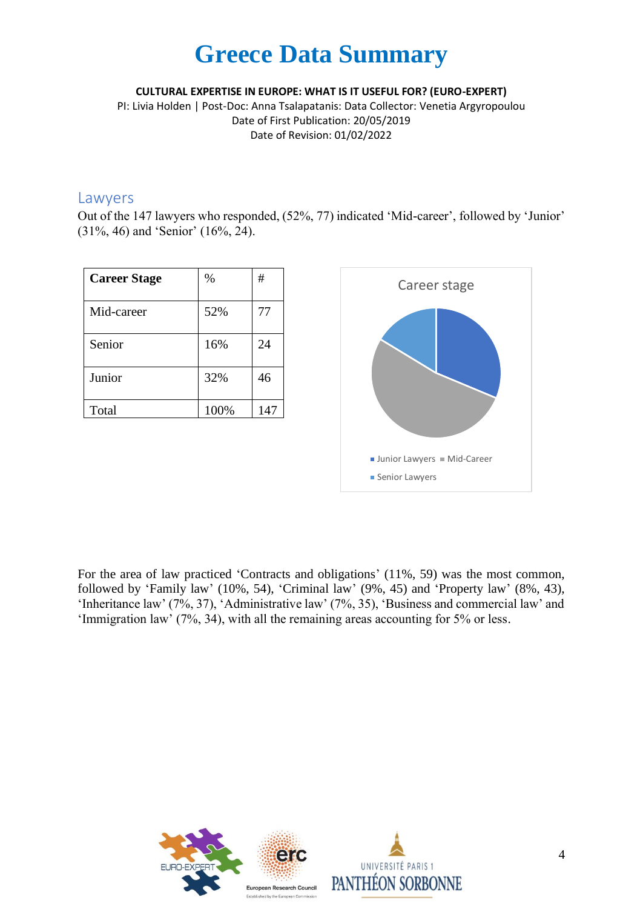**CULTURAL EXPERTISE IN EUROPE: WHAT IS IT USEFUL FOR? (EURO-EXPERT)**

PI: Livia Holden | Post-Doc: Anna Tsalapatanis: Data Collector: Venetia Argyropoulou Date of First Publication: 20/05/2019 Date of Revision: 01/02/2022

#### Lawyers

Out of the 147 lawyers who responded, (52%, 77) indicated 'Mid-career', followed by 'Junior' (31%, 46) and 'Senior' (16%, 24).

| <b>Career Stage</b> | $\%$ | #   |
|---------------------|------|-----|
| Mid-career          | 52%  | 77  |
| Senior              | 16%  | 24  |
| Junior              | 32%  | 46  |
| Total               | 100% | 147 |



For the area of law practiced 'Contracts and obligations' (11%, 59) was the most common, followed by 'Family law' (10%, 54), 'Criminal law' (9%, 45) and 'Property law' (8%, 43), 'Inheritance law' (7%, 37), 'Administrative law' (7%, 35), 'Business and commercial law' and 'Immigration law' (7%, 34), with all the remaining areas accounting for 5% or less.



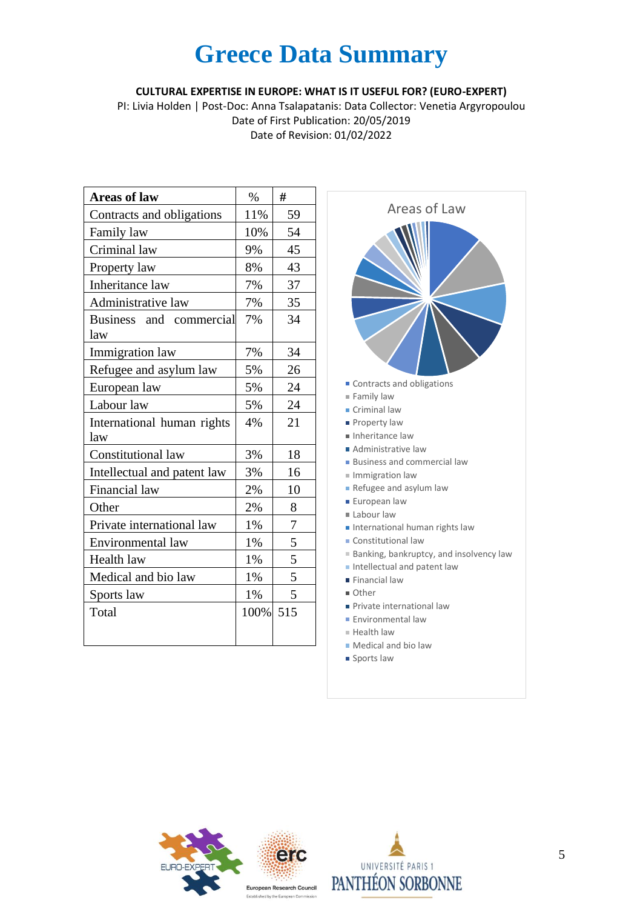#### **CULTURAL EXPERTISE IN EUROPE: WHAT IS IT USEFUL FOR? (EURO-EXPERT)**

PI: Livia Holden | Post-Doc: Anna Tsalapatanis: Data Collector: Venetia Argyropoulou Date of First Publication: 20/05/2019 Date of Revision: 01/02/2022

| <b>Areas of law</b>               | $\%$ | #   |
|-----------------------------------|------|-----|
| Contracts and obligations         | 11%  | 59  |
| Family law                        | 10%  | 54  |
| Criminal law                      | 9%   | 45  |
| Property law                      | 8%   | 43  |
| Inheritance law                   | 7%   | 37  |
| Administrative law                | 7%   | 35  |
| Business and commercial<br>law    | 7%   | 34  |
| Immigration law                   | 7%   | 34  |
| Refugee and asylum law            | 5%   | 26  |
| European law                      | 5%   | 24  |
| Labour law                        | 5%   | 24  |
| International human rights<br>law | 4%   | 21  |
| Constitutional law                | 3%   | 18  |
| Intellectual and patent law       | 3%   | 16  |
| Financial law                     | 2%   | 10  |
| Other                             | 2%   | 8   |
| Private international law         | 1%   | 7   |
| Environmental law                 | 1%   | 5   |
| Health law                        | 1%   | 5   |
| Medical and bio law               | 1%   | 5   |
| Sports law                        | 1%   | 5   |
| Total                             | 100% | 515 |





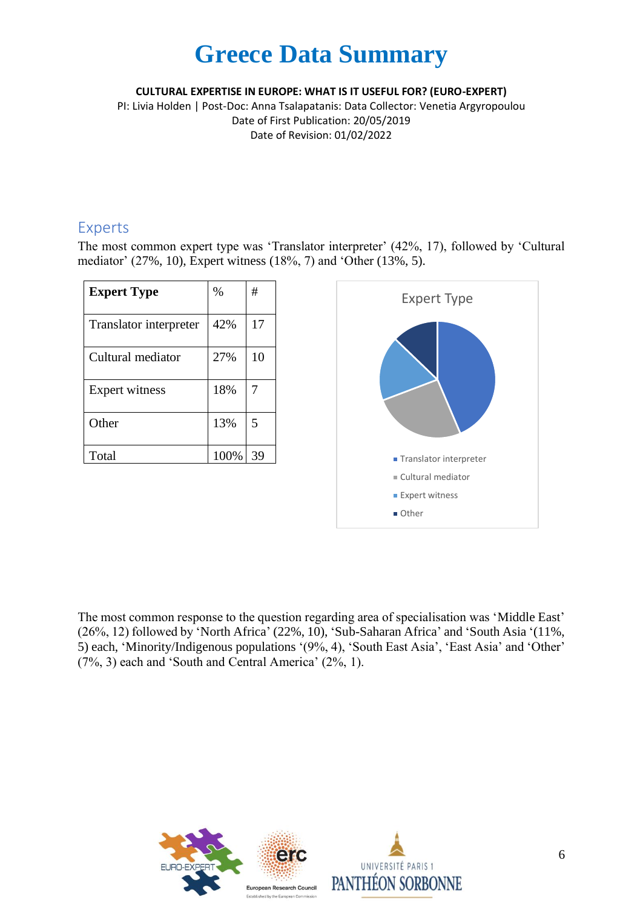#### **CULTURAL EXPERTISE IN EUROPE: WHAT IS IT USEFUL FOR? (EURO-EXPERT)**

PI: Livia Holden | Post-Doc: Anna Tsalapatanis: Data Collector: Venetia Argyropoulou Date of First Publication: 20/05/2019 Date of Revision: 01/02/2022

#### Experts

The most common expert type was 'Translator interpreter' (42%, 17), followed by 'Cultural mediator' (27%, 10), Expert witness (18%, 7) and 'Other (13%, 5).

| <b>Expert Type</b>     | $\%$ | #  |
|------------------------|------|----|
| Translator interpreter | 42%  | 17 |
| Cultural mediator      | 27%  | 10 |
| Expert witness         | 18%  | 7  |
| Other                  | 13%  | 5  |
| Total                  | 100% | 39 |



The most common response to the question regarding area of specialisation was 'Middle East' (26%, 12) followed by 'North Africa' (22%, 10), 'Sub-Saharan Africa' and 'South Asia '(11%, 5) each, 'Minority/Indigenous populations '(9%, 4), 'South East Asia', 'East Asia' and 'Other' (7%, 3) each and 'South and Central America' (2%, 1).

![](_page_5_Picture_8.jpeg)

![](_page_5_Picture_9.jpeg)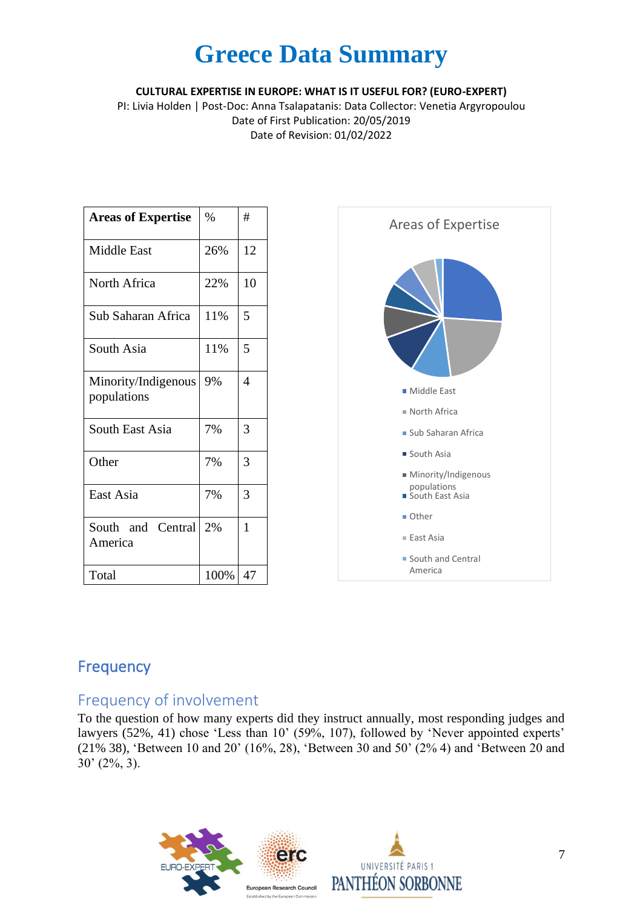**CULTURAL EXPERTISE IN EUROPE: WHAT IS IT USEFUL FOR? (EURO-EXPERT)**

PI: Livia Holden | Post-Doc: Anna Tsalapatanis: Data Collector: Venetia Argyropoulou Date of First Publication: 20/05/2019 Date of Revision: 01/02/2022

| <b>Areas of Expertise</b>          | $\%$ | #  |
|------------------------------------|------|----|
| <b>Middle East</b>                 | 26%  | 12 |
| North Africa                       | 22%  | 10 |
| Sub Saharan Africa                 | 11%  | 5  |
| South Asia                         | 11%  | 5  |
| Minority/Indigenous<br>populations | 9%   | 4  |
| South East Asia                    | 7%   | 3  |
| Other                              | 7%   | 3  |
| East Asia                          | 7%   | 3  |
| South and Central<br>America       | 2%   | 1  |
| Total                              | 100% | 47 |

![](_page_6_Figure_4.jpeg)

### Frequency

### Frequency of involvement

To the question of how many experts did they instruct annually, most responding judges and lawyers (52%, 41) chose 'Less than 10' (59%, 107), followed by 'Never appointed experts' (21% 38), 'Between 10 and 20' (16%, 28), 'Between 30 and 50' (2% 4) and 'Between 20 and 30' (2%, 3).

![](_page_6_Picture_8.jpeg)

![](_page_6_Picture_9.jpeg)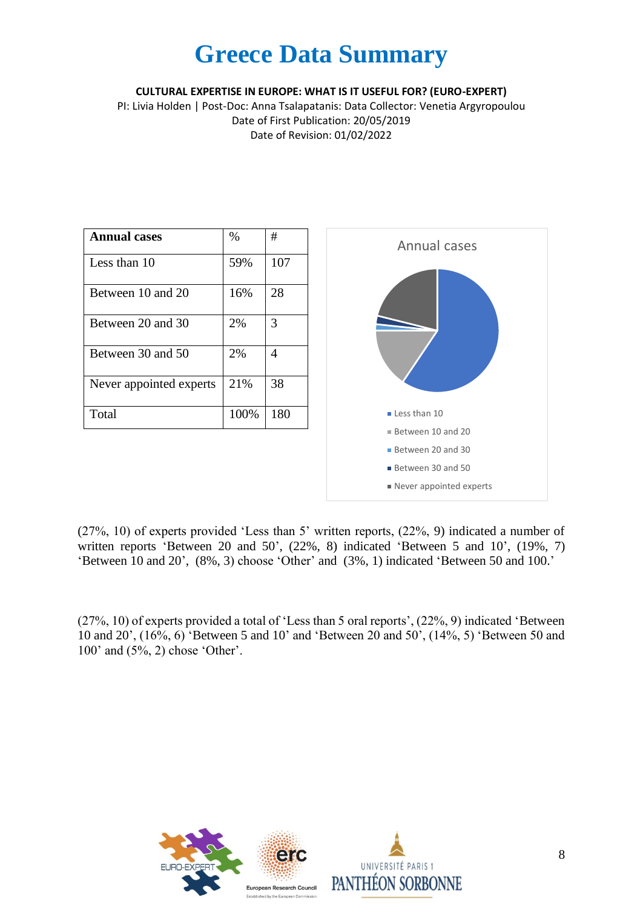**CULTURAL EXPERTISE IN EUROPE: WHAT IS IT USEFUL FOR? (EURO-EXPERT)**

PI: Livia Holden | Post-Doc: Anna Tsalapatanis: Data Collector: Venetia Argyropoulou Date of First Publication: 20/05/2019 Date of Revision: 01/02/2022

| <b>Annual cases</b>     | $\%$ | #   |
|-------------------------|------|-----|
| Less than 10            | 59%  | 107 |
| Between 10 and 20       | 16%  | 28  |
| Between 20 and 30       | 2%   | 3   |
| Between 30 and 50       | 2%   | 4   |
| Never appointed experts | 21%  | 38  |
| Total                   | 100% | 180 |

![](_page_7_Figure_4.jpeg)

(27%, 10) of experts provided 'Less than 5' written reports, (22%, 9) indicated a number of written reports 'Between 20 and 50', (22%, 8) indicated 'Between 5 and 10', (19%, 7) 'Between 10 and 20', (8%, 3) choose 'Other' and (3%, 1) indicated 'Between 50 and 100.'

(27%, 10) of experts provided a total of 'Less than 5 oral reports', (22%, 9) indicated 'Between 10 and 20', (16%, 6) 'Between 5 and 10' and 'Between 20 and 50', (14%, 5) 'Between 50 and 100' and (5%, 2) chose 'Other'.

![](_page_7_Picture_7.jpeg)

![](_page_7_Picture_8.jpeg)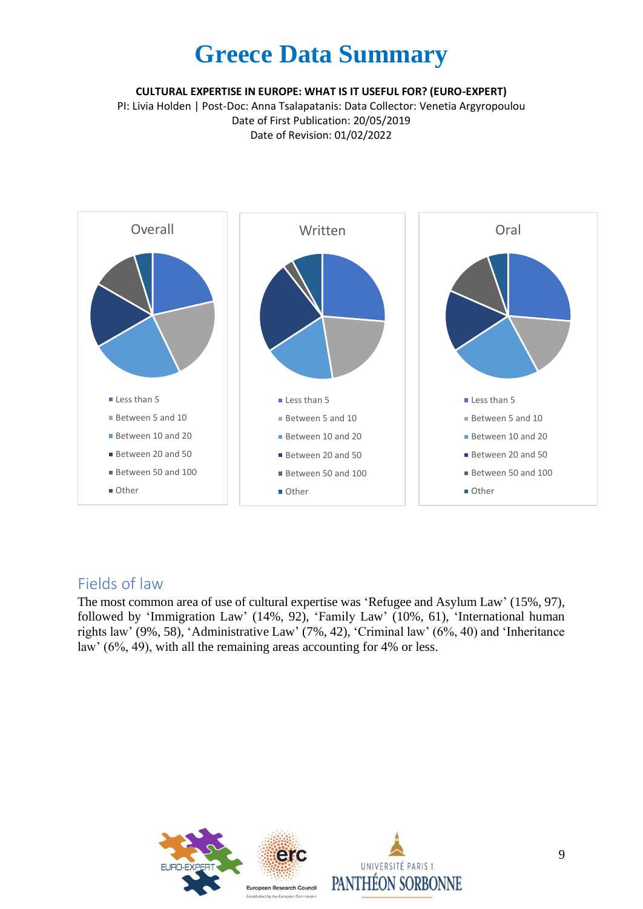**CULTURAL EXPERTISE IN EUROPE: WHAT IS IT USEFUL FOR? (EURO-EXPERT)**

PI: Livia Holden | Post-Doc: Anna Tsalapatanis: Data Collector: Venetia Argyropoulou Date of First Publication: 20/05/2019 Date of Revision: 01/02/2022

![](_page_8_Figure_3.jpeg)

#### Fields of law

The most common area of use of cultural expertise was 'Refugee and Asylum Law' (15%, 97), followed by 'Immigration Law' (14%, 92), 'Family Law' (10%, 61), 'International human rights law' (9%, 58), 'Administrative Law' (7%, 42), 'Criminal law' (6%, 40) and 'Inheritance law' (6%, 49), with all the remaining areas accounting for 4% or less.

![](_page_8_Picture_6.jpeg)

![](_page_8_Picture_7.jpeg)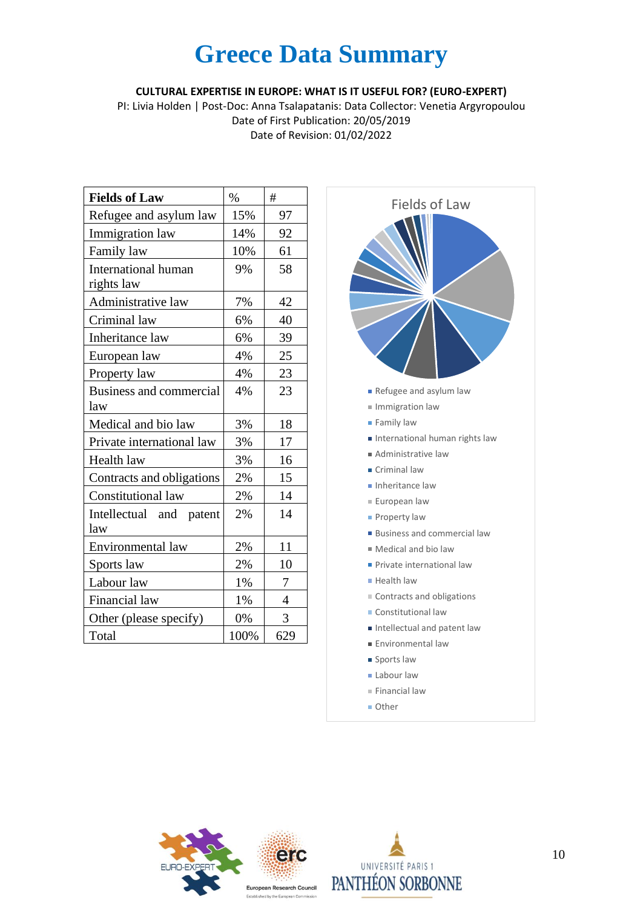**CULTURAL EXPERTISE IN EUROPE: WHAT IS IT USEFUL FOR? (EURO-EXPERT)**

PI: Livia Holden | Post-Doc: Anna Tsalapatanis: Data Collector: Venetia Argyropoulou Date of First Publication: 20/05/2019 Date of Revision: 01/02/2022

| <b>Fields of Law</b>              | $\%$ | #              |
|-----------------------------------|------|----------------|
| Refugee and asylum law            | 15%  | 97             |
| Immigration law                   | 14%  | 92             |
| Family law                        | 10%  | 61             |
| International human<br>rights law | 9%   | 58             |
| Administrative law                | 7%   | 42             |
| Criminal law                      | 6%   | 40             |
| Inheritance law                   | 6%   | 39             |
| European law                      | 4%   | 25             |
| Property law                      | 4%   | 23             |
| Business and commercial<br>law    | 4%   | 23             |
| Medical and bio law               | 3%   | 18             |
| Private international law         | 3%   | 17             |
| Health law                        | 3%   | 16             |
| Contracts and obligations         | 2%   | 15             |
| Constitutional law                | 2%   | 14             |
| Intellectual and patent<br>law    | 2%   | 14             |
| Environmental law                 | 2%   | 11             |
| Sports law                        | 2%   | 10             |
| Labour law                        | 1%   | 7              |
| Financial law                     | 1%   | $\overline{4}$ |
| Other (please specify)            | 0%   | 3              |
| Total                             | 100% | 629            |

![](_page_9_Figure_4.jpeg)

**Other** 

![](_page_9_Picture_6.jpeg)

![](_page_9_Picture_7.jpeg)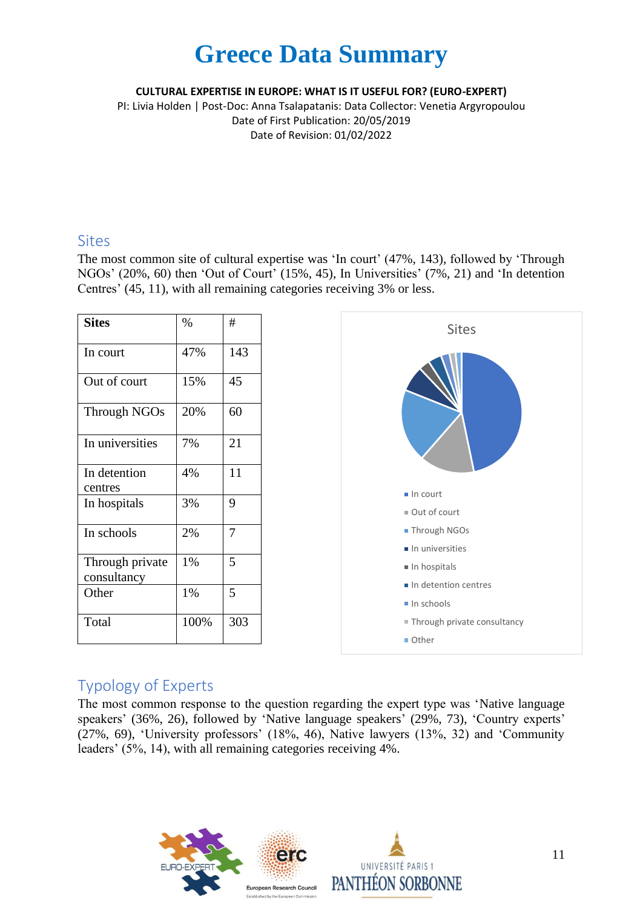**CULTURAL EXPERTISE IN EUROPE: WHAT IS IT USEFUL FOR? (EURO-EXPERT)**

PI: Livia Holden | Post-Doc: Anna Tsalapatanis: Data Collector: Venetia Argyropoulou Date of First Publication: 20/05/2019 Date of Revision: 01/02/2022

#### Sites

The most common site of cultural expertise was 'In court' (47%, 143), followed by 'Through NGOs' (20%, 60) then 'Out of Court' (15%, 45), In Universities' (7%, 21) and 'In detention Centres' (45, 11), with all remaining categories receiving 3% or less.

| <b>Sites</b>                   | %    | #   |
|--------------------------------|------|-----|
| In court                       | 47%  | 143 |
| Out of court                   | 15%  | 45  |
| Through NGOs                   | 20%  | 60  |
| In universities                | 7%   | 21  |
| In detention<br>centres        | 4%   | 11  |
| In hospitals                   | 3%   | 9   |
| In schools                     | 2%   | 7   |
| Through private<br>consultancy | 1%   | 5   |
| Other                          | 1%   | 5   |
| Total                          | 100% | 303 |

![](_page_10_Figure_6.jpeg)

### Typology of Experts

The most common response to the question regarding the expert type was 'Native language speakers' (36%, 26), followed by 'Native language speakers' (29%, 73), 'Country experts' (27%, 69), 'University professors' (18%, 46), Native lawyers (13%, 32) and 'Community leaders' (5%, 14), with all remaining categories receiving 4%.

![](_page_10_Picture_9.jpeg)

![](_page_10_Picture_10.jpeg)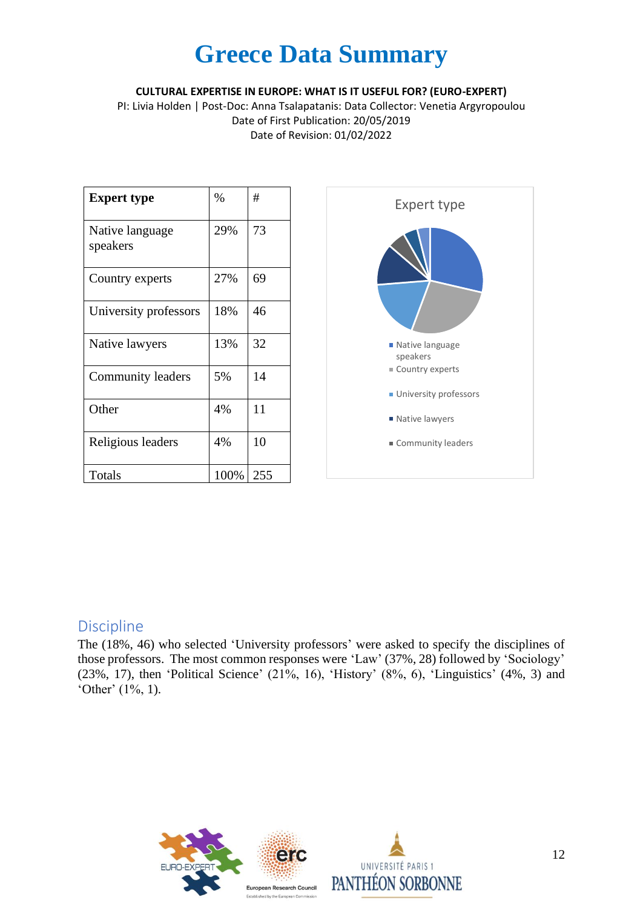**CULTURAL EXPERTISE IN EUROPE: WHAT IS IT USEFUL FOR? (EURO-EXPERT)**

PI: Livia Holden | Post-Doc: Anna Tsalapatanis: Data Collector: Venetia Argyropoulou Date of First Publication: 20/05/2019 Date of Revision: 01/02/2022

| <b>Expert type</b>          | %    | #   |
|-----------------------------|------|-----|
| Native language<br>speakers | 29%  | 73  |
| Country experts             | 27%  | 69  |
| University professors       | 18%  | 46  |
| Native lawyers              | 13%  | 32  |
| Community leaders           | 5%   | 14  |
| Other                       | 4%   | 11  |
| Religious leaders           | 4%   | 10  |
| Totals                      | 100% | 255 |

![](_page_11_Figure_4.jpeg)

#### Discipline

The (18%, 46) who selected 'University professors' were asked to specify the disciplines of those professors. The most common responses were 'Law' (37%, 28) followed by 'Sociology' (23%, 17), then 'Political Science' (21%, 16), 'History' (8%, 6), 'Linguistics' (4%, 3) and 'Other' (1%, 1).

![](_page_11_Picture_7.jpeg)

![](_page_11_Picture_8.jpeg)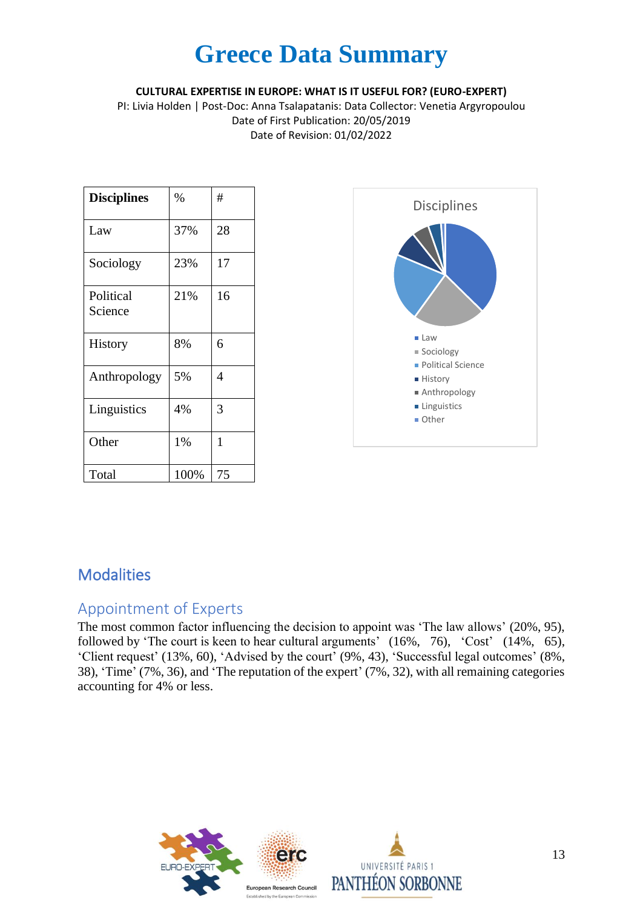**CULTURAL EXPERTISE IN EUROPE: WHAT IS IT USEFUL FOR? (EURO-EXPERT)**

PI: Livia Holden | Post-Doc: Anna Tsalapatanis: Data Collector: Venetia Argyropoulou Date of First Publication: 20/05/2019 Date of Revision: 01/02/2022

| <b>Disciplines</b>   | $\%$ | #  |
|----------------------|------|----|
| Law                  | 37%  | 28 |
| Sociology            | 23%  | 17 |
| Political<br>Science | 21%  | 16 |
| History              | 8%   | 6  |
| Anthropology         | 5%   | 4  |
| Linguistics          | 4%   | 3  |
| Other                | 1%   | 1  |
| Total                | 100% | 75 |

![](_page_12_Figure_4.jpeg)

### **Modalities**

#### Appointment of Experts

The most common factor influencing the decision to appoint was 'The law allows' (20%, 95), followed by 'The court is keen to hear cultural arguments' (16%, 76), 'Cost' (14%, 65), 'Client request' (13%, 60), 'Advised by the court' (9%, 43), 'Successful legal outcomes' (8%, 38), 'Time' (7%, 36), and 'The reputation of the expert' (7%, 32), with all remaining categories accounting for 4% or less.

![](_page_12_Picture_8.jpeg)

![](_page_12_Picture_9.jpeg)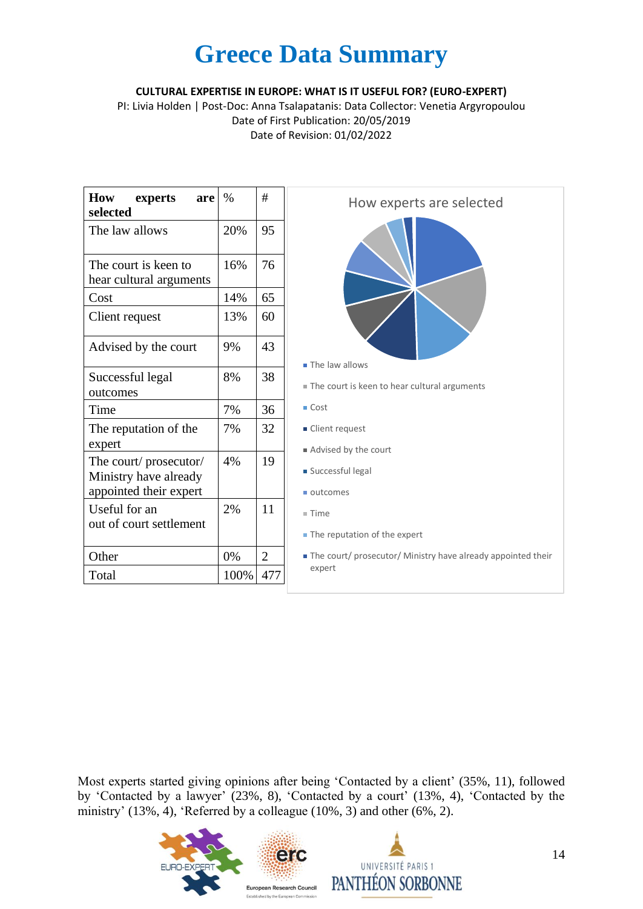**CULTURAL EXPERTISE IN EUROPE: WHAT IS IT USEFUL FOR? (EURO-EXPERT)**

PI: Livia Holden | Post-Doc: Anna Tsalapatanis: Data Collector: Venetia Argyropoulou Date of First Publication: 20/05/2019 Date of Revision: 01/02/2022

| How<br>experts<br>are<br>selected                                        | $\frac{0}{0}$ | #   |
|--------------------------------------------------------------------------|---------------|-----|
| The law allows                                                           | 20%           | 95  |
| The court is keen to<br>hear cultural arguments                          | 16%           | 76  |
| Cost                                                                     | 14%           | 65  |
| Client request                                                           | 13%           | 60  |
| Advised by the court                                                     | 9%            | 43  |
| Successful legal<br>outcomes                                             | 8%            | 38  |
| Time                                                                     | 7%            | 36  |
| The reputation of the<br>expert                                          | 7%            | 32  |
| The court/prosecutor/<br>Ministry have already<br>appointed their expert | 4%            | 19  |
| Useful for an<br>out of court settlement                                 | 2%            | 11  |
| Other                                                                    | 0%            | 2   |
| Total                                                                    | 100%          | 477 |

![](_page_13_Figure_4.jpeg)

Most experts started giving opinions after being 'Contacted by a client' (35%, 11), followed by 'Contacted by a lawyer' (23%, 8), 'Contacted by a court' (13%, 4), 'Contacted by the ministry' (13%, 4), 'Referred by a colleague (10%, 3) and other (6%, 2).

![](_page_13_Picture_6.jpeg)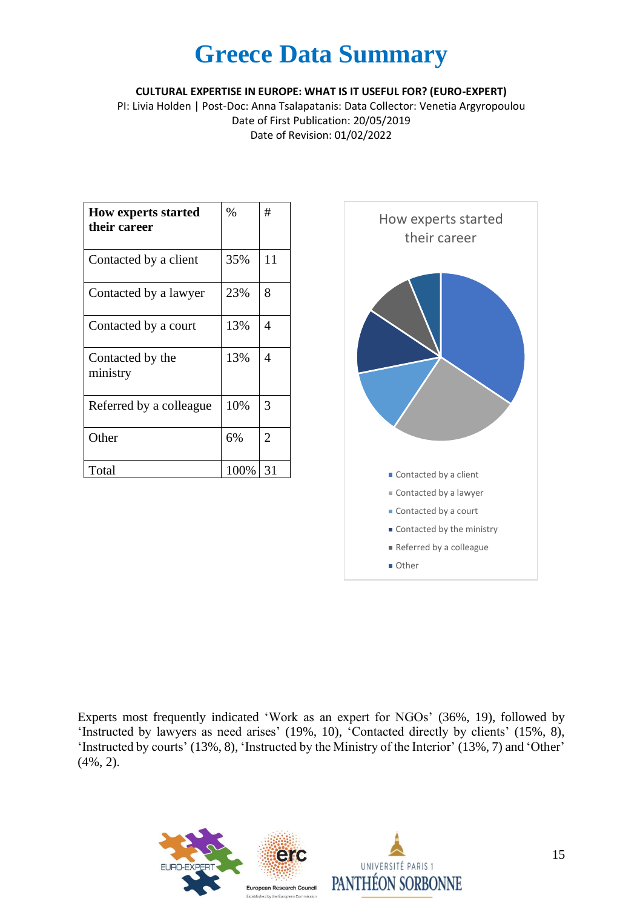**CULTURAL EXPERTISE IN EUROPE: WHAT IS IT USEFUL FOR? (EURO-EXPERT)**

PI: Livia Holden | Post-Doc: Anna Tsalapatanis: Data Collector: Venetia Argyropoulou Date of First Publication: 20/05/2019 Date of Revision: 01/02/2022

| <b>How experts started</b><br>their career | $\%$ | #              |
|--------------------------------------------|------|----------------|
| Contacted by a client                      | 35%  | 11             |
| Contacted by a lawyer                      | 23%  | 8              |
| Contacted by a court                       | 13%  | 4              |
| Contacted by the<br>ministry               | 13%  | 4              |
| Referred by a colleague                    | 10%  | 3              |
| Other                                      | 6%   | $\overline{2}$ |
| Total                                      | 100% | 31             |

![](_page_14_Figure_4.jpeg)

Experts most frequently indicated 'Work as an expert for NGOs' (36%, 19), followed by 'Instructed by lawyers as need arises' (19%, 10), 'Contacted directly by clients' (15%, 8), 'Instructed by courts' (13%, 8), 'Instructed by the Ministry of the Interior' (13%, 7) and 'Other' (4%, 2).

![](_page_14_Picture_6.jpeg)

![](_page_14_Picture_7.jpeg)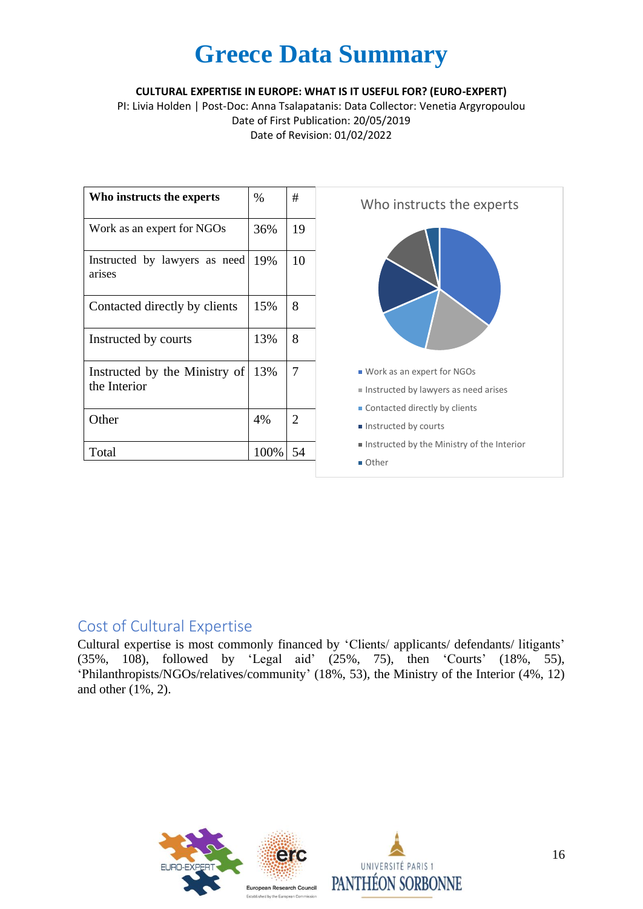**CULTURAL EXPERTISE IN EUROPE: WHAT IS IT USEFUL FOR? (EURO-EXPERT)**

PI: Livia Holden | Post-Doc: Anna Tsalapatanis: Data Collector: Venetia Argyropoulou Date of First Publication: 20/05/2019 Date of Revision: 01/02/2022

| Who instructs the experts                     | $\%$ | #              |
|-----------------------------------------------|------|----------------|
| Work as an expert for NGOs                    | 36%  | 19             |
| Instructed by lawyers as need<br>arises       | 19%  | 10             |
| Contacted directly by clients                 | 15%  | 8              |
| Instructed by courts                          | 13%  | 8              |
| Instructed by the Ministry of<br>the Interior | 13%  | 7              |
| Other                                         | 4%   | $\overline{2}$ |
| Total                                         | 100% | 54             |

![](_page_15_Figure_4.jpeg)

#### Cost of Cultural Expertise

Cultural expertise is most commonly financed by 'Clients/ applicants/ defendants/ litigants' (35%, 108), followed by 'Legal aid' (25%, 75), then 'Courts' (18%, 55), 'Philanthropists/NGOs/relatives/community' (18%, 53), the Ministry of the Interior (4%, 12) and other (1%, 2).

![](_page_15_Picture_7.jpeg)

![](_page_15_Picture_8.jpeg)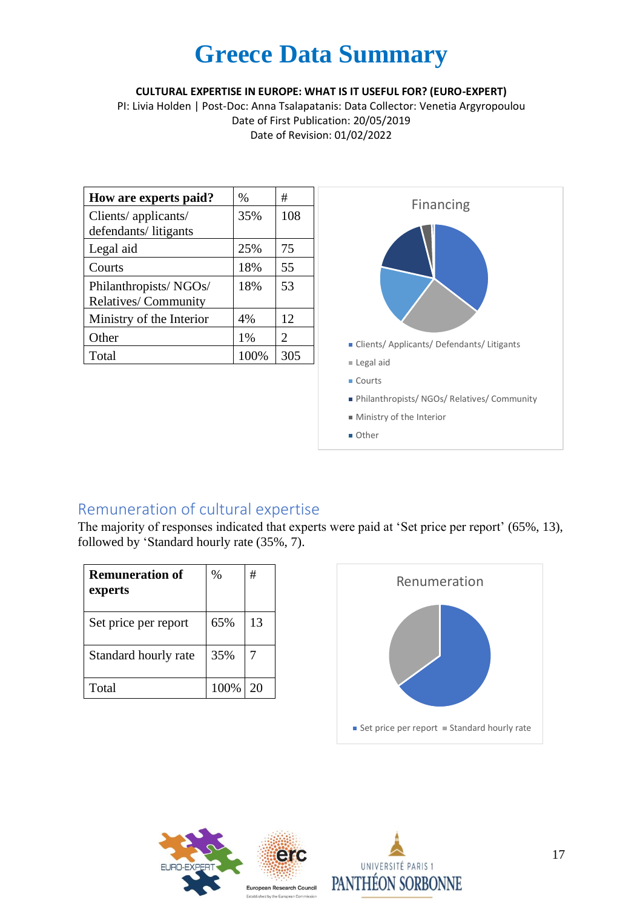#### **CULTURAL EXPERTISE IN EUROPE: WHAT IS IT USEFUL FOR? (EURO-EXPERT)**

PI: Livia Holden | Post-Doc: Anna Tsalapatanis: Data Collector: Venetia Argyropoulou Date of First Publication: 20/05/2019 Date of Revision: 01/02/2022

| How are experts paid?    | $\%$ | #                           |
|--------------------------|------|-----------------------------|
| Clients/ applicants/     | 35%  | 108                         |
| defendants/litigants     |      |                             |
| Legal aid                | 25%  | 75                          |
| Courts                   | 18%  | 55                          |
| Philanthropists/NGOs/    | 18%  | 53                          |
| Relatives/Community      |      |                             |
| Ministry of the Interior | 4%   | 12                          |
| Other                    | 1%   | $\mathcal{D}_{\mathcal{L}}$ |
| Total                    | 100% | 305                         |

![](_page_16_Figure_4.jpeg)

### Remuneration of cultural expertise

The majority of responses indicated that experts were paid at 'Set price per report' (65%, 13), followed by 'Standard hourly rate (35%, 7).

| <b>Remuneration of</b><br>experts | %    | #  |
|-----------------------------------|------|----|
| Set price per report              | 65%  | 13 |
| Standard hourly rate              | 35%  |    |
| Total                             | 100% | 20 |

![](_page_16_Figure_8.jpeg)

![](_page_16_Picture_9.jpeg)

![](_page_16_Picture_10.jpeg)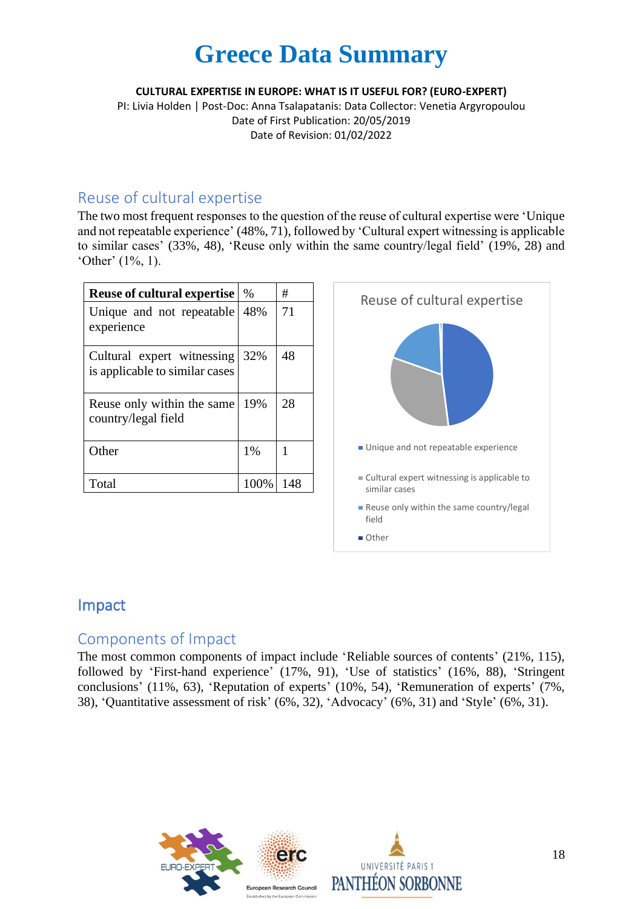**CULTURAL EXPERTISE IN EUROPE: WHAT IS IT USEFUL FOR? (EURO-EXPERT)**

PI: Livia Holden | Post-Doc: Anna Tsalapatanis: Data Collector: Venetia Argyropoulou Date of First Publication: 20/05/2019 Date of Revision: 01/02/2022

#### Reuse of cultural expertise

The two most frequent responses to the question of the reuse of cultural expertise were 'Unique and not repeatable experience' (48%, 71), followed by 'Cultural expert witnessing is applicable to similar cases' (33%, 48), 'Reuse only within the same country/legal field' (19%, 28) and 'Other' (1%, 1).

| <b>Reuse of cultural expertise</b>                           | $\%$    | #   |
|--------------------------------------------------------------|---------|-----|
| Unique and not repeatable<br>experience                      | 48%     | 71  |
| Cultural expert witnessing<br>is applicable to similar cases | 32%     | 48  |
| Reuse only within the same<br>country/legal field            | 19%     | 28  |
| Other                                                        | 1%      | 1   |
| Total                                                        | $100\%$ | 148 |

![](_page_17_Figure_6.jpeg)

### Impact

#### Components of Impact

The most common components of impact include 'Reliable sources of contents' (21%, 115), followed by 'First-hand experience' (17%, 91), 'Use of statistics' (16%, 88), 'Stringent conclusions' (11%, 63), 'Reputation of experts' (10%, 54), 'Remuneration of experts' (7%, 38), 'Quantitative assessment of risk' (6%, 32), 'Advocacy' (6%, 31) and 'Style' (6%, 31).

![](_page_17_Picture_10.jpeg)

![](_page_17_Picture_11.jpeg)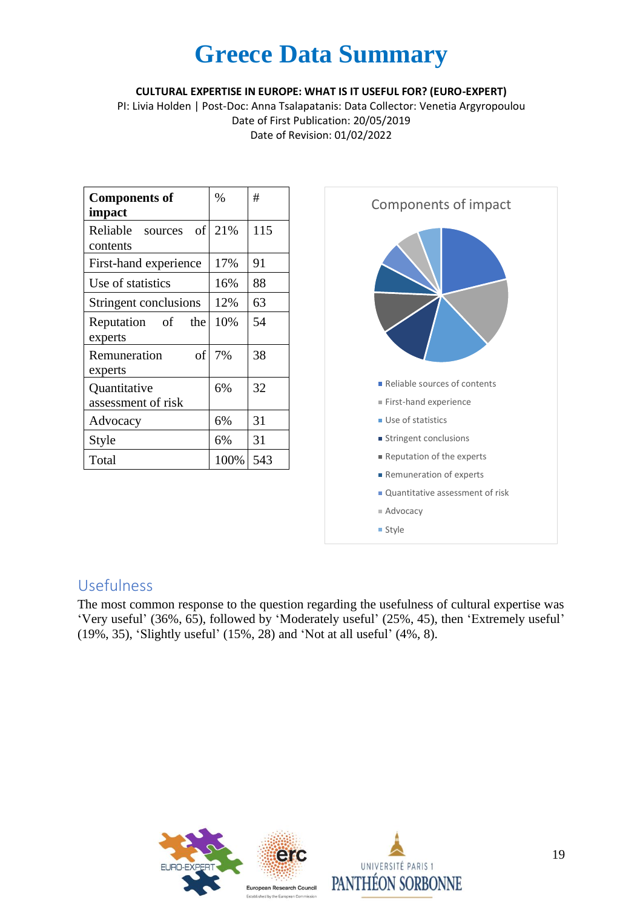#### **CULTURAL EXPERTISE IN EUROPE: WHAT IS IT USEFUL FOR? (EURO-EXPERT)**

PI: Livia Holden | Post-Doc: Anna Tsalapatanis: Data Collector: Venetia Argyropoulou Date of First Publication: 20/05/2019 Date of Revision: 01/02/2022

| <b>Components of</b><br>impact     | $\%$ | #   |
|------------------------------------|------|-----|
| Reliable sources<br>of<br>contents | 21%  | 115 |
| First-hand experience              | 17%  | 91  |
| Use of statistics                  | 16%  | 88  |
| Stringent conclusions              | 12%  | 63  |
| Reputation of<br>the<br>experts    | 10%  | 54  |
| οf<br>Remuneration<br>experts      | 7%   | 38  |
| Quantitative<br>assessment of risk | 6%   | 32  |
| Advocacy                           | 6%   | 31  |
| Style                              | 6%   | 31  |
| Total                              | 100% | 543 |

![](_page_18_Figure_4.jpeg)

#### Usefulness

The most common response to the question regarding the usefulness of cultural expertise was 'Very useful' (36%, 65), followed by 'Moderately useful' (25%, 45), then 'Extremely useful' (19%, 35), 'Slightly useful' (15%, 28) and 'Not at all useful' (4%, 8).

![](_page_18_Picture_7.jpeg)

![](_page_18_Picture_8.jpeg)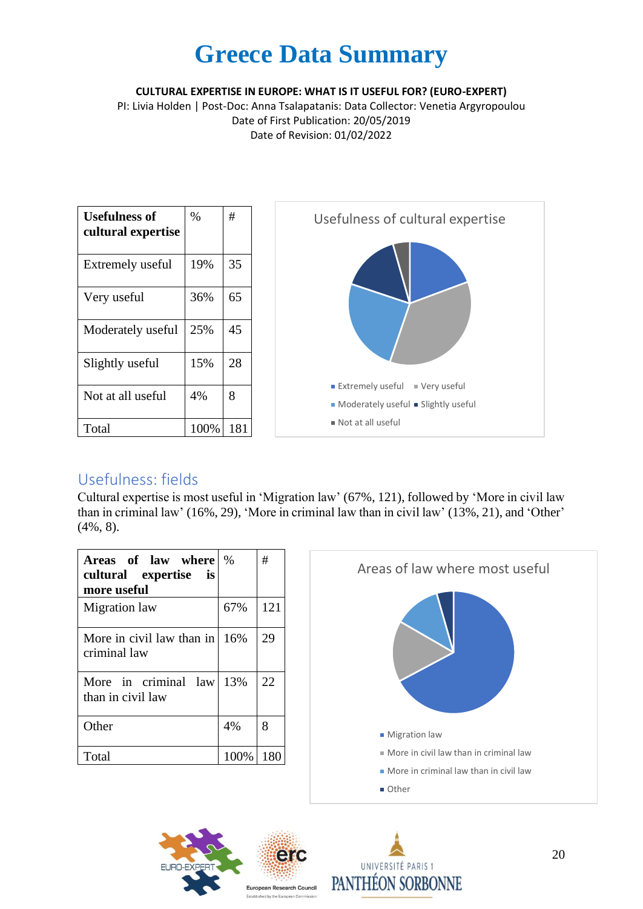**CULTURAL EXPERTISE IN EUROPE: WHAT IS IT USEFUL FOR? (EURO-EXPERT)**

PI: Livia Holden | Post-Doc: Anna Tsalapatanis: Data Collector: Venetia Argyropoulou Date of First Publication: 20/05/2019 Date of Revision: 01/02/2022

| <b>Usefulness of</b><br>cultural expertise | $\%$ | #   |
|--------------------------------------------|------|-----|
| Extremely useful                           | 19%  | 35  |
| Very useful                                | 36%  | 65  |
| Moderately useful                          | 25%  | 45  |
| Slightly useful                            | 15%  | 28  |
| Not at all useful                          | 4%   | 8   |
| Total                                      | 100% | 181 |

![](_page_19_Figure_4.jpeg)

### Usefulness: fields

Cultural expertise is most useful in 'Migration law' (67%, 121), followed by 'More in civil law than in criminal law' (16%, 29), 'More in criminal law than in civil law' (13%, 21), and 'Other' (4%, 8).

| Areas of law where<br>cultural expertise is<br>more useful | $\%$ | #   |
|------------------------------------------------------------|------|-----|
| Migration law                                              | 67%  | 121 |
| More in civil law than in $16\%$<br>criminal law           |      | 29  |
| More in criminal law<br>than in civil law                  | 13%  | 22  |
| Other                                                      | 4%   | 8   |
| Total                                                      | 100% | 180 |

![](_page_19_Figure_8.jpeg)

![](_page_19_Picture_9.jpeg)

![](_page_19_Picture_10.jpeg)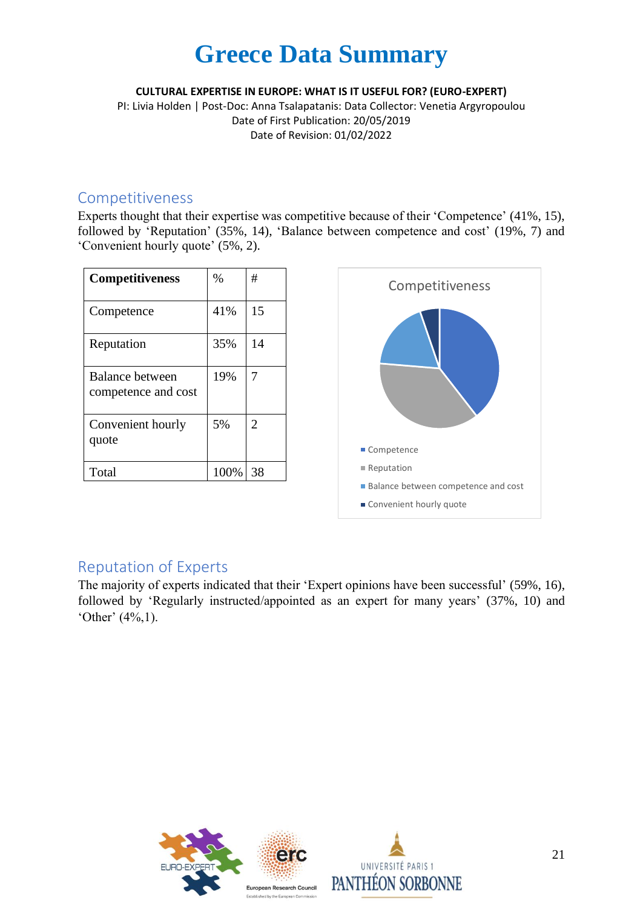**CULTURAL EXPERTISE IN EUROPE: WHAT IS IT USEFUL FOR? (EURO-EXPERT)**

PI: Livia Holden | Post-Doc: Anna Tsalapatanis: Data Collector: Venetia Argyropoulou Date of First Publication: 20/05/2019 Date of Revision: 01/02/2022

#### Competitiveness

Experts thought that their expertise was competitive because of their 'Competence' (41%, 15), followed by 'Reputation' (35%, 14), 'Balance between competence and cost' (19%, 7) and 'Convenient hourly quote' (5%, 2).

| <b>Competitiveness</b>                 | $\%$ | #              |
|----------------------------------------|------|----------------|
| Competence                             | 41%  | 15             |
| Reputation                             | 35%  | 14             |
| Balance between<br>competence and cost | 19%  | 7              |
| Convenient hourly<br>quote             | 5%   | $\overline{2}$ |
| Total                                  | 100% | 38             |

![](_page_20_Figure_6.jpeg)

#### Reputation of Experts

The majority of experts indicated that their 'Expert opinions have been successful' (59%, 16), followed by 'Regularly instructed/appointed as an expert for many years' (37%, 10) and 'Other' (4%,1).

![](_page_20_Picture_9.jpeg)

![](_page_20_Picture_10.jpeg)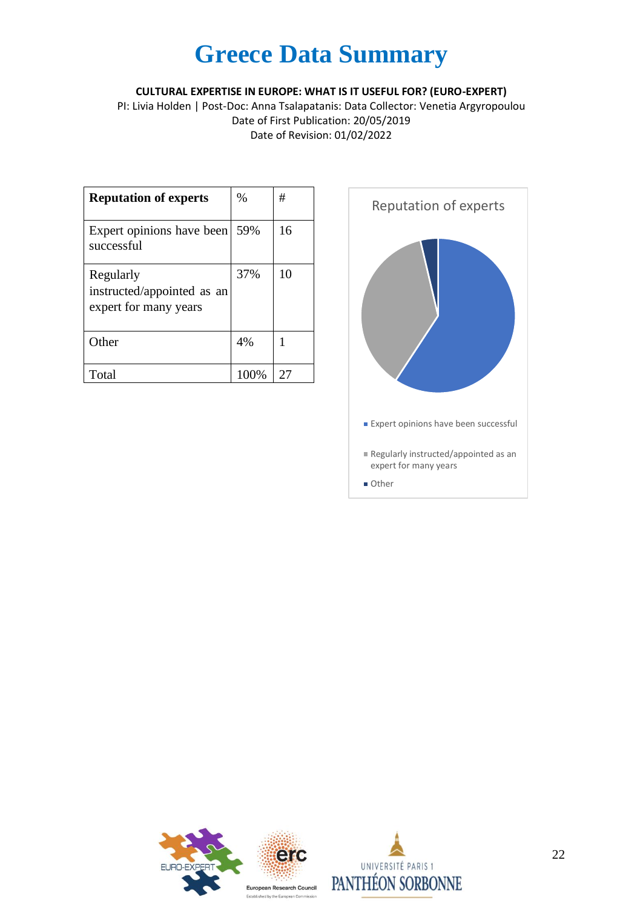**CULTURAL EXPERTISE IN EUROPE: WHAT IS IT USEFUL FOR? (EURO-EXPERT)**

PI: Livia Holden | Post-Doc: Anna Tsalapatanis: Data Collector: Venetia Argyropoulou Date of First Publication: 20/05/2019 Date of Revision: 01/02/2022

| <b>Reputation of experts</b>                                     | $\frac{0}{0}$ | #  |
|------------------------------------------------------------------|---------------|----|
| Expert opinions have been<br>successful                          | 59%           | 16 |
| Regularly<br>instructed/appointed as an<br>expert for many years | 37%           | 10 |
| Other                                                            | 4%            |    |
| Total                                                            | 100\%         | 27 |

![](_page_21_Figure_4.jpeg)

![](_page_21_Picture_5.jpeg)

![](_page_21_Picture_6.jpeg)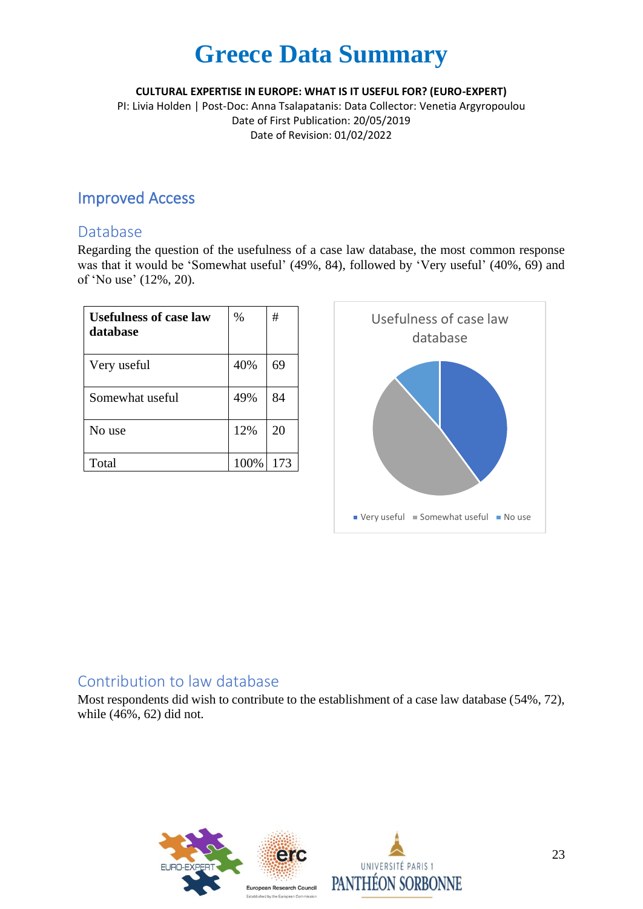**CULTURAL EXPERTISE IN EUROPE: WHAT IS IT USEFUL FOR? (EURO-EXPERT)**

PI: Livia Holden | Post-Doc: Anna Tsalapatanis: Data Collector: Venetia Argyropoulou Date of First Publication: 20/05/2019 Date of Revision: 01/02/2022

### Improved Access

#### Database

Regarding the question of the usefulness of a case law database, the most common response was that it would be 'Somewhat useful' (49%, 84), followed by 'Very useful' (40%, 69) and of 'No use' (12%, 20).

| <b>Usefulness of case law</b><br>database | $\%$ | #   |
|-------------------------------------------|------|-----|
| Very useful                               | 40%  | 69  |
| Somewhat useful                           | 49%  | 84  |
| No use                                    | 12%  | 20  |
| Total                                     | 100% | 173 |

![](_page_22_Figure_7.jpeg)

### Contribution to law database

Most respondents did wish to contribute to the establishment of a case law database (54%, 72), while (46%, 62) did not.

![](_page_22_Picture_10.jpeg)

![](_page_22_Picture_11.jpeg)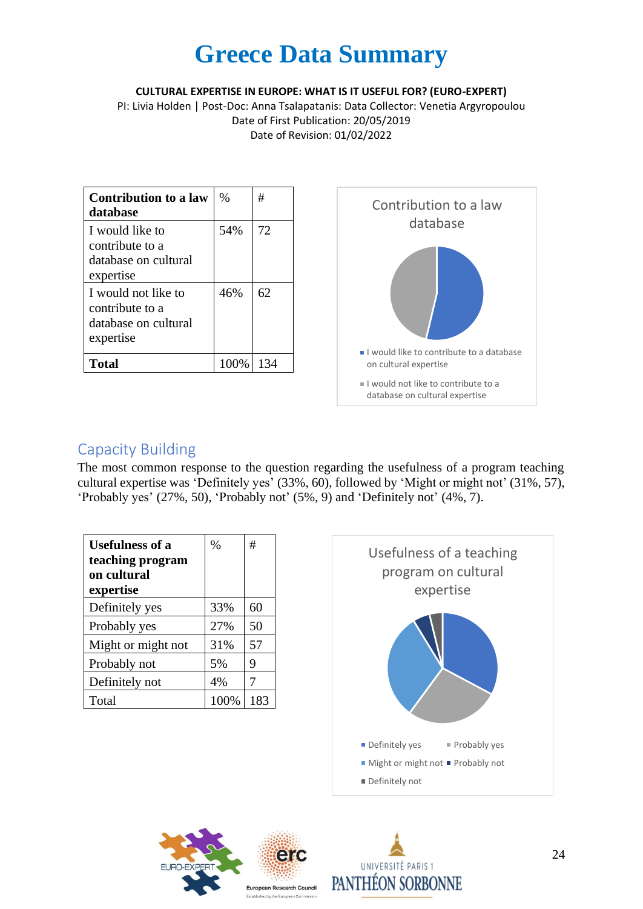**CULTURAL EXPERTISE IN EUROPE: WHAT IS IT USEFUL FOR? (EURO-EXPERT)**

PI: Livia Holden | Post-Doc: Anna Tsalapatanis: Data Collector: Venetia Argyropoulou Date of First Publication: 20/05/2019 Date of Revision: 01/02/2022

| <b>Contribution to a law</b><br>database                                    | $\frac{0}{0}$ | #   |
|-----------------------------------------------------------------------------|---------------|-----|
| I would like to<br>contribute to a<br>database on cultural<br>expertise     | 54%           | 72  |
| I would not like to<br>contribute to a<br>database on cultural<br>expertise | 46%           | 62  |
| Total                                                                       | 100\%         | 134 |

![](_page_23_Figure_4.jpeg)

### Capacity Building

The most common response to the question regarding the usefulness of a program teaching cultural expertise was 'Definitely yes' (33%, 60), followed by 'Might or might not' (31%, 57), 'Probably yes' (27%, 50), 'Probably not' (5%, 9) and 'Definitely not' (4%, 7).

| <b>Usefulness of a</b><br>teaching program<br>on cultural<br>expertise | $\frac{0}{0}$ | #   |
|------------------------------------------------------------------------|---------------|-----|
| Definitely yes                                                         | 33%           | 60  |
| Probably yes                                                           | 27%           | 50  |
| Might or might not                                                     | 31%           | 57  |
| Probably not                                                           | 5%            | 9   |
| Definitely not                                                         | 4%            | 7   |
| Total                                                                  | 100%          | 183 |

![](_page_23_Figure_8.jpeg)

![](_page_23_Picture_9.jpeg)

![](_page_23_Picture_10.jpeg)